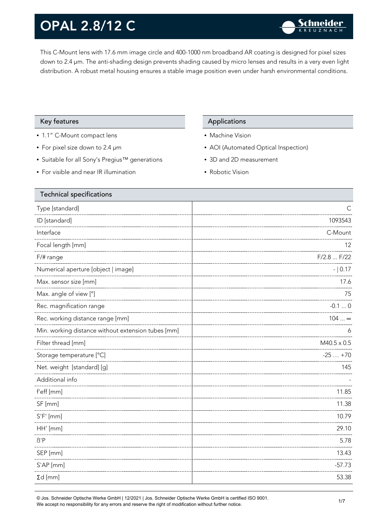This C-Mount lens with 17.6 mm image circle and 400-1000 nm broadband AR coating is designed for pixel sizes down to 2.4 µm. The anti-shading design prevents shading caused by micro lenses and results in a very even light distribution. A robust metal housing ensures a stable image position even under harsh environmental conditions.

#### Key features **Applications** Applications

- 1.1" C-Mount compact lens
- For pixel size down to 2.4 µm
- Suitable for all Sony's Pregius™ generations
- For visible and near IR illumination

- Machine Vision
- AOI (Automated Optical Inspection)
- 3D and 2D measurement
- Robotic Vision

| <b>Technical specifications</b>                    |                    |
|----------------------------------------------------|--------------------|
| Type [standard]                                    |                    |
| ID [standard]                                      | 1093543            |
| Interface                                          | C-Mount            |
| Focal length [mm]                                  | 12                 |
| $F/\#$ range                                       | F/2.8  F/22        |
| Numerical aperture [object   image]                | $- 0.17$           |
| Max. sensor size [mm]                              | 17.6               |
| Max. angle of view [°]                             | 75                 |
| Rec. magnification range                           | $-0.10$            |
| Rec. working distance range [mm]                   | $104 \infty$       |
| Min. working distance without extension tubes [mm] | 6                  |
| Filter thread [mm]                                 | $M40.5 \times 0.5$ |
| Storage temperature [°C]                           | $-25+70$           |
| Net. weight [standard] [g]                         | 145                |
| Additional info                                    |                    |
| f'eff [mm]                                         | 11.85              |
| SF [mm]                                            | 11.38              |
| $S'F'$ [mm]                                        | 10.79              |
| HH' [mm]                                           | 29.10              |
| $\beta$ 'P                                         | 5.78               |
| SEP [mm]                                           | 13.43              |
| S'AP [mm]                                          | $-57.73$           |
| $\Sigma d$ [mm]                                    | 53.38              |
|                                                    |                    |

© Jos. Schneider Optische Werke GmbH | 12/2021 | Jos. Schneider Optische Werke GmbH is certified ISO 9001. We accept no responsibility for any errors and reserve the right of modification without further notice.<br>We accept no responsibility for any errors and reserve the right of modification without further notice.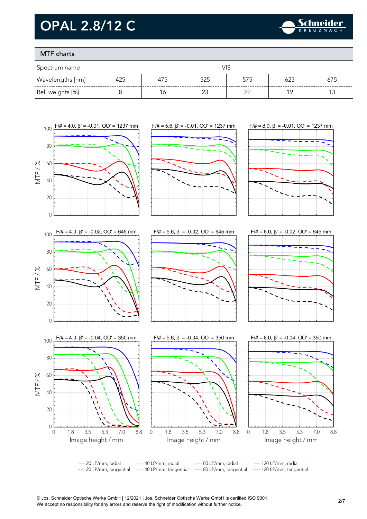

### MTF charts

| Spectrum name    |     |     |     |     |     |     |
|------------------|-----|-----|-----|-----|-----|-----|
| Wavelengths [nm] | 425 | 475 | 525 | 575 | 625 | 675 |
| Rel. weights [%] |     |     |     | ົ   |     |     |



© Jos. Schneider Optische Werke GmbH | 12/2021 | Jos. Schneider Optische Werke GmbH is certified ISO 9001. We accept no responsibility for any errors and reserve the right of modification without further notice.<br>We accept no responsibility for any errors and reserve the right of modification without further notice.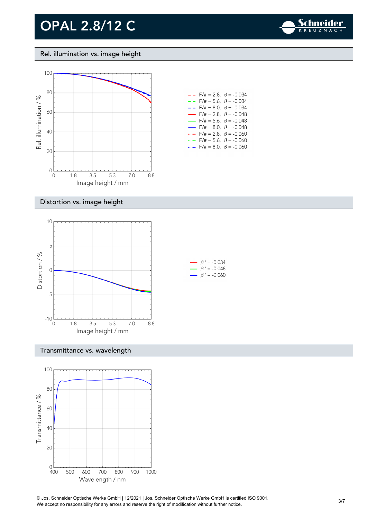

#### Rel. illumination vs. image height



| $- -$                    | $F/\ddot{\pi} = 2.8, \ \ \beta = -0.034$  |
|--------------------------|-------------------------------------------|
|                          | $- -$ F/# = 5.6, $\beta$ = -0.034         |
|                          | $- -$ F/# = 8.0, $\beta$ = -0.034         |
|                          | $\rightarrow$ F/# = 2.8, $\beta$ = -0.048 |
|                          | $\rightarrow$ F/# = 5.6, $\beta$ = -0.048 |
| $\overline{\phantom{0}}$ | $F/\ddot{=} = 8.0, \ \beta = -0.048$      |
|                          | $F/\ddot{\pi} = 2.8, \ \beta = -0.060$    |
|                          | F/# = 5.6, $\beta$ = -0.060               |
|                          | $F/\ddot{=} = 8.0, \ \beta = -0.060$      |
|                          |                                           |

#### Distortion vs. image height



#### Transmittance vs. wavelength



© Jos. Schneider Optische Werke GmbH | 12/2021 | Jos. Schneider Optische Werke GmbH is certified ISO 9001. We accept no responsibility for any errors and reserve the right of modification without further notice.<br>We accept no responsibility for any errors and reserve the right of modification without further notice.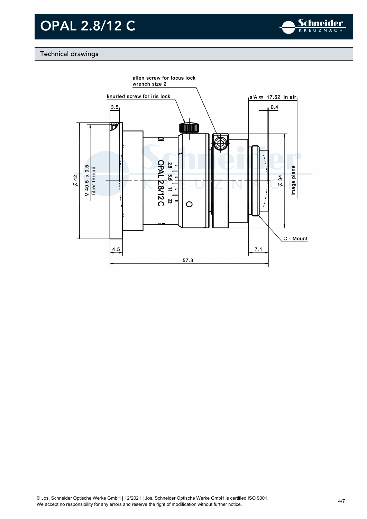

### Technical drawings

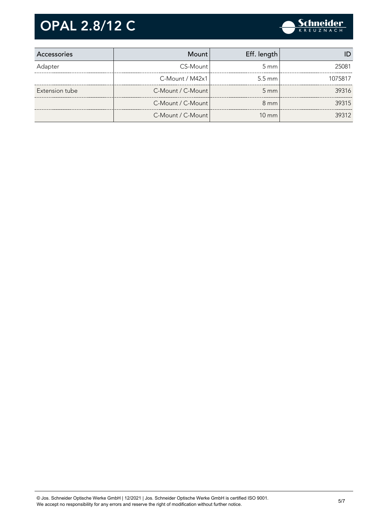

| Accessories    | Mount                 | Eff. length        |         |
|----------------|-----------------------|--------------------|---------|
| Adapter        | CS-Mount              | $5 \text{ mm}$     | 25081   |
|                | $C-M$ ount / M42 $x1$ | $5.5 \text{ mm}$   | 1075817 |
| Extension tube | C-Mount / C-Mount     | $5 \, \mathrm{mm}$ | 39316   |
|                | C-Mount / C-Mount     | $8 \text{ mm}$     | 39315   |
|                | C-Mount / C-Mount     | $10 \text{ mm}$    | 39312   |